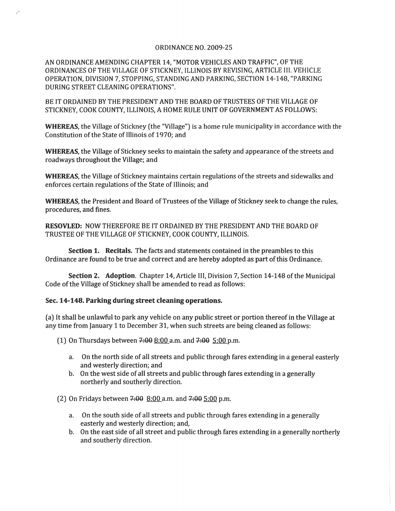## ORDINANCE NO. 2009-25

AN ORDINANCE AMENDING CHAPTER 14, "MOTOR VEHICLES AND TRAFFIC", OF THE ORDINANCES OF THE VILLAGE OF STICKNEY, ILLINOIS BY REVISING, ARTICLE III. VEHICLE OPERATION, DIVISION 7, STOPPING, STANDING AND PARKING, SECTION 14-148, "PARKING DURING STREET CLEANING OPERATIONS",

BE IT ORDAINED BY THE PRESIDENT AND THE BOARD OF TRUSTEES OF THE VILLAGE OF STICKNEY, COOK COUNTY, ILLINOIS, A HOME RULE UNIT OF GOVERNMENT AS FOLLOWS:

WHEREAS, the Village of Stickney (the "Village") is a home rule municipality in accordance with the Constitution of the State of Illinois of 1970; and

WHEREAS, the Village of Stickney seeks to maintain the safety and appearance of the streets and roadways throughout the Village; and

WHEREAS, the Village of Stickney maintains certain regulations of the streets and sidewalks and enforces certain regulations of the State of Illinois; and

WHEREAS, the President and Board of Trustees of the Village of Stickney seek to change the rules, procedures, and fines.

RESOVLED: NOW THEREFORE BE IT ORDAINED BY THE PRESIDENT AND THE BOARD OF TRUSTEE OF THE VILLAGE OF STICKNEY, COOK COUNTY, ILLINOIS.

Section 1. Recitals. The facts and statements contained in the preambles to this Ordinance are found to be true and correct and are hereby adopted as part of this Ordinance.

Section 2. Adoption. Chapter 14, Article III, Division 7, Section 14-148 of the Municipal Code of the Village of Stickney shall be amended to read as follows:

## Sec. 14-148. Parking during street cleaning operations.

(a) It shall be unlawful to park any vehicle on any public street or portion thereofin the Village at any time from January 1 to December 31, when such streets are being cleaned as follows:

(1) On Thursdays between  $7:00 8:00$  a.m. and  $7:00 5:00$  p.m.

- a. On the north side of all streets and public through fares extending in a general easterly and westerly direction; and
- **b.** On the west side of all streets and public through fares extending in a generally northerly and southerly direction.

(2) On Fridays between  $7:00$  8:00 a.m. and  $7:00$  5:00 p.m.

- a. On the south side of all streets and public through fares extending in a generally easterly and westerly direction; and,
- b. On the east side of all street and public through fares extending in a generally northerly and southerly direction.